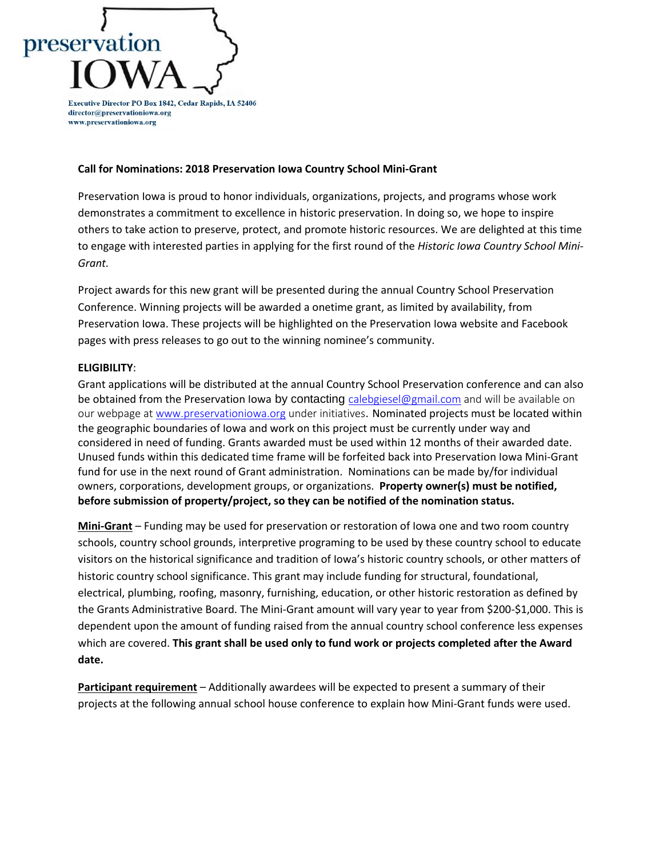# preservation Executive Director PO Box 1842, Cedar Rapids, IA 52406

director@preservationiowa.org www.preservationiowa.org

#### **Call for Nominations: 2018 Preservation Iowa Country School Mini-Grant**

Preservation Iowa is proud to honor individuals, organizations, projects, and programs whose work demonstrates a commitment to excellence in historic preservation. In doing so, we hope to inspire others to take action to preserve, protect, and promote historic resources. We are delighted at this time to engage with interested parties in applying for the first round of the *Historic Iowa Country School Mini-Grant.*

Project awards for this new grant will be presented during the annual Country School Preservation Conference. Winning projects will be awarded a onetime grant, as limited by availability, from Preservation Iowa. These projects will be highlighted on the Preservation Iowa website and Facebook pages with press releases to go out to the winning nominee's community.

## **ELIGIBILITY**:

Grant applications will be distributed at the annual Country School Preservation conference and can also be obtained from the Preservation Iowa by contacting [ca](mailto:c)lebgiesel@gmail.com and will be available on our webpage at [www.preservationiowa.org](http://www.preservationiowa.org/) under initiatives. Nominated projects must be located within the geographic boundaries of Iowa and work on this project must be currently under way and considered in need of funding. Grants awarded must be used within 12 months of their awarded date. Unused funds within this dedicated time frame will be forfeited back into Preservation Iowa Mini-Grant fund for use in the next round of Grant administration. Nominations can be made by/for individual owners, corporations, development groups, or organizations. **Property owner(s) must be notified, before submission of property/project, so they can be notified of the nomination status.**

**Mini-Grant** – Funding may be used for preservation or restoration of Iowa one and two room country schools, country school grounds, interpretive programing to be used by these country school to educate visitors on the historical significance and tradition of Iowa's historic country schools, or other matters of historic country school significance. This grant may include funding for structural, foundational, electrical, plumbing, roofing, masonry, furnishing, education, or other historic restoration as defined by the Grants Administrative Board. The Mini-Grant amount will vary year to year from \$200-\$1,000. This is dependent upon the amount of funding raised from the annual country school conference less expenses which are covered. **This grant shall be used only to fund work or projects completed after the Award date.**

**Participant requirement** – Additionally awardees will be expected to present a summary of their projects at the following annual school house conference to explain how Mini-Grant funds were used.